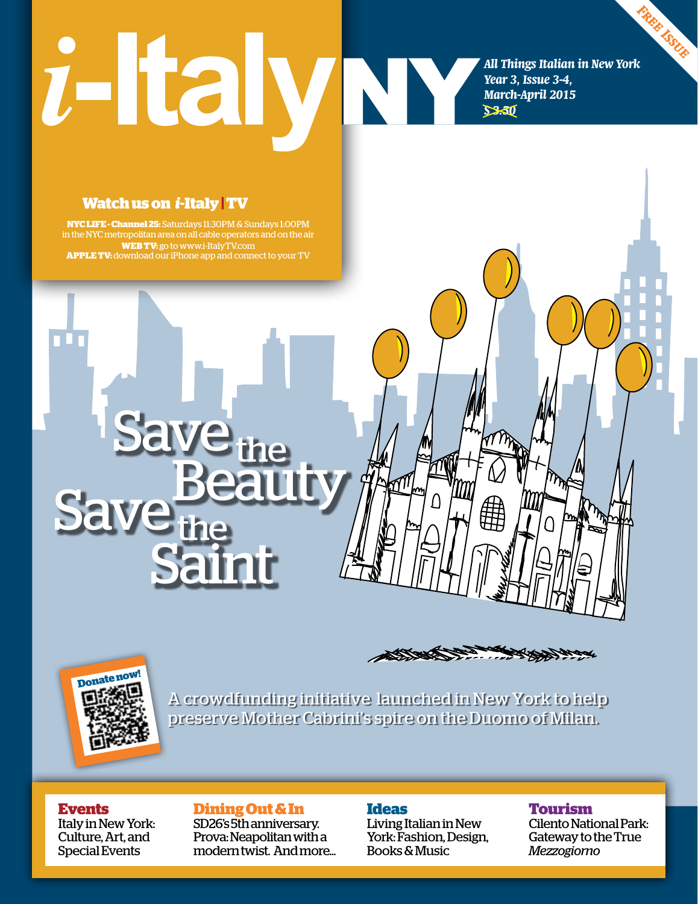# *i*-Italy

*Free Issue All Things Italian in New York Year 3, Issue 3-4, March-April 2015 \$ 3.50*

### **Watch us on** *i***-Italy|TV**

**NYC LIFE - Channel 25:** Saturdays 11:30pm & Sundays 1:00PM in the NYC metropolitan area on all cable operators and on the air **web TV:** go to www.i-ItalyTV.com **Apple Tv:** download ouriPhone app and connect to your TV

Save<sub>the</sub><br>Save<sub>the</sub>

**Saint** 





A crowdfunding initiative launched in New York to help preserve Mother Cabrini's spire on the Duomo of Milan.

### **Events**

Italy in New York: Culture, Art, and Special Events

### **Dining Out & In**

SD26's 5th anniversary. Prova: Neapolitan with a modern twist. And more...

### **Ideas**

Living Italian in New York: Fashion, Design, Books & Music

### **Tourism**

Cilento National Park: Gateway to the True *Mezzogiorno*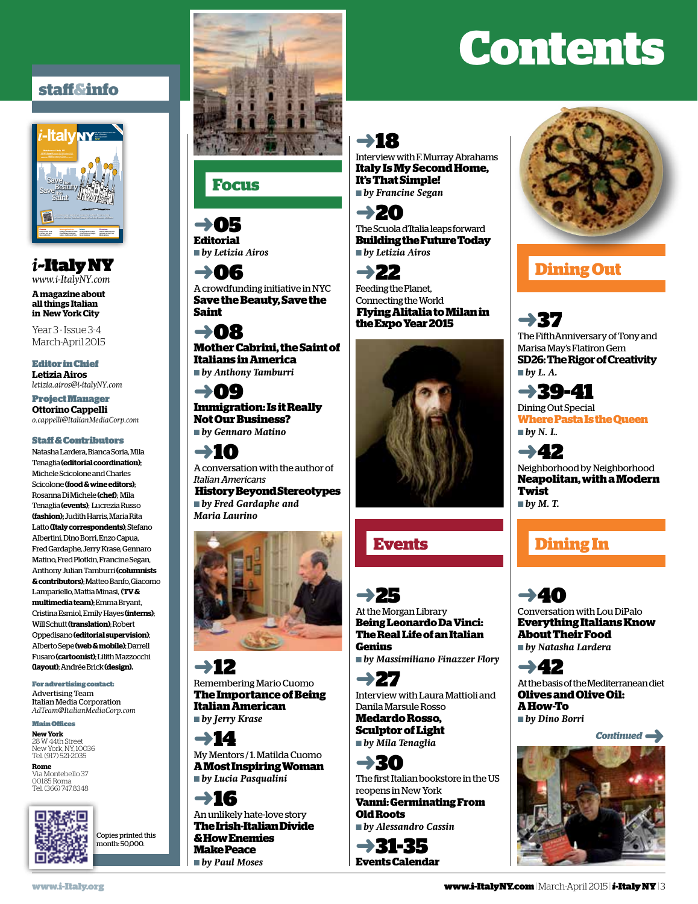### **staff&info**



*i*~Italy NY *www.i-ItalyNY.com*

**A magazine about all things Italian in New York City**

Year 3 - Issue 3-4 March-April 2015

Editor in Chief **Letizia Airos** *letizia.airos@i-italyNY.com*

Project Manager **Ottorino Cappelli** *o.cappelli@ItalianMediaCorp.com*

#### Staff & Contributors

Natasha Lardera, Bianca Soria, Mila Tenaglia **(editorial coordination)**; Michele Scicolone and Charles Scicolone **(food & wine editors)**; Rosanna Di Michele **(chef)**; Mila Tenaglia **(events)**; Lucrezia Russo **(fashion);** Judith Harris, Maria Rita Latto **(Italy correspondents)**; Stefano Albertini, Dino Borri, Enzo Capua, Fred Gardaphe, Jerry Krase, Gennaro Matino, Fred Plotkin, Francine Segan, Anthony Julian Tamburri **(columnists & contributors)**; Matteo Banfo, Giacomo Lampariello, Mattia Minasi, **(TV & multimedia team)**; Emma Bryant, Cristina Esmiol, Emily Hayes **(interns)**; Will Schutt **(translation)**; Robert Oppedisano **(editorial supervision)**; Alberto Sepe **(web & mobile)**; Darrell Fusaro **(cartoonist)**; Lilith Mazzocchi **(layout)**; Andrée Brick **(design).**

For advertising contact: Advertising Team Italian Media Corporation *AdTeam@ItalianMediaCorp.com*

Main Offices

**New York** 28 W 44th Street New York, NY, 10036 Tel. (917) 521-2035

**Rome** Via Montebello 37 00185 Roma Tel. (366) 747.8348







### **Focus**

➜05 **Editorial** ■ *by Letizia Airos*

➜06 A crowdfunding initiative in NYC **Save the Beauty, Save the Saint**

➜08 **Mother Cabrini, the Saint of Italians in America** ■ *by Anthony Tamburri*

➜09 **Immigration: Is it Really Not Our Business?** ■ *by Gennaro Matino*

➜10 A conversation with the author of *Italian Americans* **History Beyond Stereotypes** ■ *by Fred Gardaphe and Maria Laurino*



➜12 Remembering Mario Cuomo **The Importance of Being Italian American** ■ *by Jerry Krase*

➜14 My Mentors / 1. Matilda Cuomo **A Most Inspiring Woman** ■ *by Lucia Pasqualini*

➜16 An unlikely hate-love story **The Irish-Italian Divide & How Enemies Make Peace** ■ *by Paul Moses*

# **Contents**

### ➜18

Interview with F. Murray Abrahams **Italy Is My Second Home, It's That Simple!** ■ *by Francine Segan*

➜20 The Scuola d'Italia leaps forward **Building the Future Today** ■ *by Letizia Airos*

➜22

Feeding the Planet, Connecting the World **Flying Alitalia to Milan in the Expo Year 2015**



➜25 At the Morgan Library **Being Leonardo Da Vinci: The Real Life of an Italian Genius** 

■ *by Massimiliano Finazzer Flory*

➜27 Interview with Laura Mattioli and Danila Marsule Rosso **Medardo Rosso, Sculptor of Light** ■ *by Mila Tenaglia*

➜30 The first Italian bookstore in the US reopens in New York **Vanni: Germinating From** 

**Old Roots** ■ *by Alessandro Cassin*





### **Dining Out**

➜37 The FifthAnniversary of Tony and Marisa May's Flatiron Gem **SD26: The Rigor of Creativity** ■ *by L. A.*

➜39-41

Dining Out Special **Where Pasta Is the Queen** ■ by *N. L.* 

➜42 Neighborhood by Neighborhood **Neapolitan, with a Modern Twist** ■ by *M.* T.

### **Events Dining In**

➜40 Conversation with Lou DiPalo **Everything Italians Know About Their Food** ■ *by Natasha Lardera*

➜42 At the basis of the Mediterranean diet **Olives and Olive Oil: A How-To** ■ *by Dino Borri* 

*Continued*➜

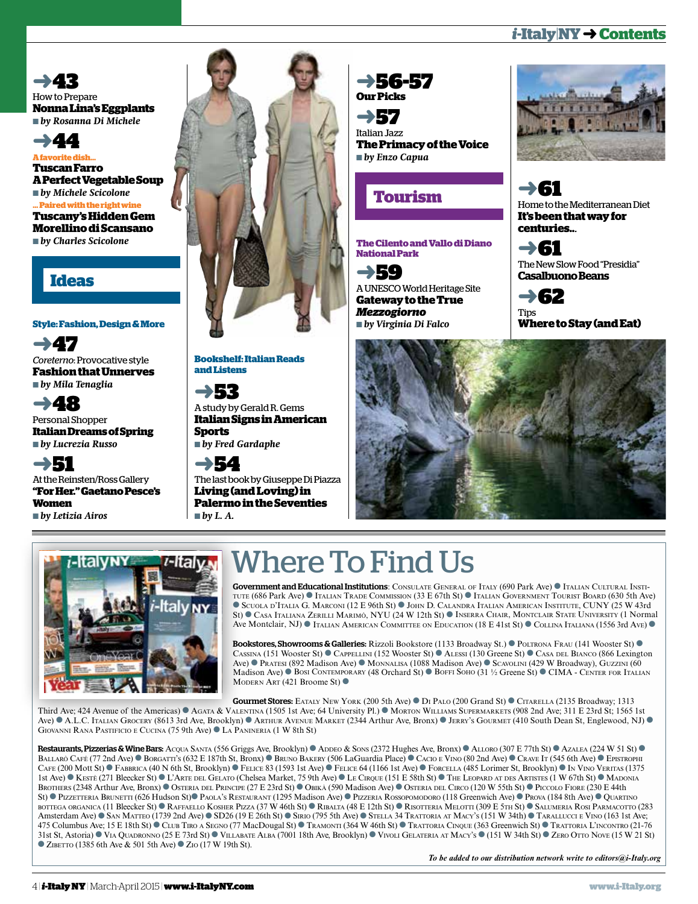### *i***-Italy**|**NY** ➜**Contents**

➜43 How to Prepare **Nonna Lina's Eggplants** ■ *by Rosanna Di Michele*

➜44 **A favorite dish... Tuscan Farro A Perfect Vegetable Soup** ■ *by Michele Scicolone* **... Paired with the right wine Tuscany's Hidden Gem Morellino di Scansano** ■ *by Charles Scicolone*

### **Ideas**

### **Style: Fashion, Design & More**

➜47 *Coreterno*: Provocative style **Fashion that Unnerves** ■ *by Mila Tenaglia*

➜48 Personal Shopper **Italian Dreams of Spring** ■ *by Lucrezia Russo*

➜51 At the Reinsten/Ross Gallery **"For Her." Gaetano Pesce's Women** ■ *by Letizia Airos*



**Bookshelf: Italian Reads and Listens**

➜53 A study by Gerald R. Gems **Italian Signs in American Sports**

■ *by Fred Gardaphe*

➜54 The last book by Giuseppe Di Piazza **Living (and Loving) in Palermo in the Seventies** ■ *by L. A.*



➜57 Italian Jazz **The Primacy of the Voice** ■ *by Enzo Capua*

### **Tourism**

**The Cilento and Vallo di Diano National Park**

➜59 A UNESCO World Heritage Site **Gateway to the True**  *Mezzogiorno* ■ *by Virginia Di Falco*



➜61 Home to the Mediterranean Diet **It's been that way for centuries..***.*

➜61 The New Slow Food "Presidia" **Casalbuono Beans**



**Where to Stay (and Eat)**





### Where To Find Us

Government and Educational Institutions: Consulate General of Italy (690 Park Ave) ● Italian Cultural Institute (686 Park Ave) ● Italian Trade Commission (33 E 67th St) ● Italian Government Tourist Board (630 5th Ave) ● Scuola d'Italia G. Marconi (12 E 96th St) ● John D. Calandra Italian American Institute, CUNY (25 W 43rd St) ● Casa Italiana Zerilli Marimò, NYU (24 W 12th St) ● Inserra Chair, Montclair State University (1 Normal Ave Montclair, NJ) ● Italian American Committee on Education (18 E 41st St) ● Collina Italiana (1556 3rd Ave) ●

Bookstores, Showrooms & Galleries: Rizzoli Bookstore (1133 Broadway St.) ● Poltrona Frau (141 Wooster St) ● Cassina (151 Wooster St) ● Cappellini (152 Wooster St) ● Alessi (130 Greene St) ● Casa del Bianco (866 Lexington Ave) ● Pratesi (892 Madison Ave) ● Monnalisa (1088 Madison Ave) ● Scavolini (429 W Broadway), Guzzini (60 Madison Ave) ● Bosi Contemporary (48 Orchard St) ● Boffi Soho (31 ½ Greene St) ● CIMA - Center for Italian Modern Art (421 Broome St) ●

Gourmet Stores: Eataly New York (200 5th Ave) ● Di Palo (200 Grand St) ● Citarella (2135 Broadway; 1313

Third Ave; 424 Avenue of the Americas) ● Agata & Valentina (1505 1st Ave; 64 University Pl.) ● Morton Williams Supermarkets (908 2nd Ave; 311 E 23rd St; 1565 1st Ave) ● A.L.C. Italian Grocery (8613 3rd Ave, Brooklyn) ● Arthur Avenue Market (2344 Arthur Ave, Bronx) ● Jerry's Gourmet (410 South Dean St, Englewood, NJ) ● Giovanni Rana Pastificio e Cucina (75 9th Ave) ● La Panineria (1 W 8th St)

Restaurants, Pizzerias & Wine Bars: Acqua Santa (556 Griggs Ave, Brooklyn) ● Added & Sons (2372 Hughes Ave, Bronx) ● ALLORO (307 E 77th St) ● Azalea (224 W 51 St) ● Ballarò Café (77 2nd Ave) ● Borgatti's (632 E 187th St, Bronx) ● Bruno Bakery (506 LaGuardia Place) ● Cacio <sup>e</sup> Vino (80 2nd Ave) ● Crave It (545 6th Ave) ● Epistrophi CAFE (200 Mott St) ● FABBRICA (40 N 6th St, Brooklyn) ● Felice 83 (1593 1st Ave) ● Felice 64 (1166 1st Ave) ● Forcella (485 Lorimer St, Brooklyn) ● In Vino Veritas (1375 1st Ave) ● Kestè (271 Bleecker St) ● L'Arte del Gelato (Chelsea Market, 75 9th Ave) ● Le Cirque (151 E 58th St) ● The Leopard at des Artistes (1 W 67th St) ● Madonia Brothers (2348 Arthur Ave, Bronx) ● Osteria del Principe (27 E 23rd St) ● Obikà (590 Madison Ave) ● Osteria del Circo (120 W 55th St) ● Piccolo Fiore (230 E 44th St) ● Pizzetteria Brunetti (626 Hudson St)● Paola's Restaurant (1295 Madison Ave) ● Pizzeria Rossopomodoro (118 Greenwich Ave) ● Prova (184 8th Ave) ● Quartino bottega organica (11 Bleecker St) ● Raffaello Kosher Pizza (37 W 46th St) ● Ribalta (48 E 12th St) ● Risotteria Melotti (309 E 5th St) ● Salumeria Rosi Parmacotto (283 Amsterdam Ave) ● San Matteo (1739 2nd Ave) ● SD26 (19 E 26th St) ● Sirio (795 5th Ave) ● Stella 34 Trattoria at Macy's (151 W 34th) ● Tarallucci <sup>e</sup> Vino (163 1st Ave; 475 Columbus Ave; 15 E 18th St) ● Club Tiro <sup>a</sup> Segno (77 MacDougal St) ● Tramonti (364 W 46th St) ● Trattoria Cinque (363 Greenwich St) ● Trattoria L'incontro (21-76 31st St, Astoria) ● Via Quadronno (25 E 73rd St) ● Villabate Alba (7001 18th Ave, Brooklyn) ● Vivoli Gelateria at Macy's ● (151 W 34th St) ● Zero Otto Nove (15 W 21 St) ● ZIBETTO (1385 6th Ave & 501 5th Ave) ● ZIO (17 W 19th St).

*To be added to our distribution network write to editors@i-Italy.org*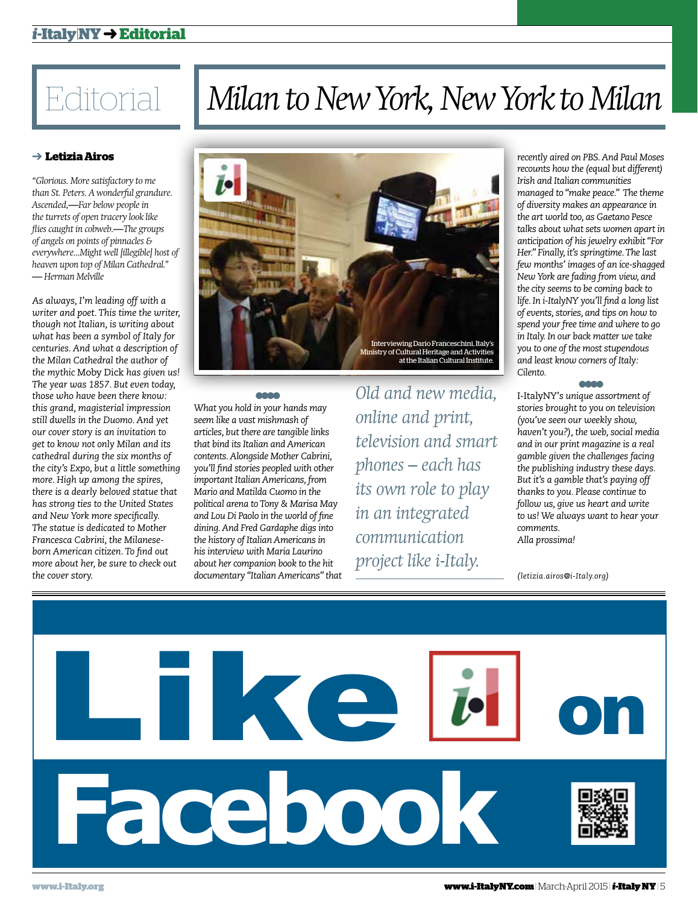### *i***-Italy**|**NY** ➜**Editorial**

### ➔ **Letizia Airos**

*"Glorious. More satisfactory to me than St. Peters. A wonderful grandure. Ascended,—Far below people in the turrets of open tracery look like flies caught in cobweb.—The groups of angels on points of pinnacles & everywhere...Might well [illegible] host of heaven upon top of Milan Cathedral." — Herman Melville*

*As always, I'm leading off with a writer and poet. This time the writer, though not Italian, is writing about what has been a symbol of Italy for centuries. And what a description of the Milan Cathedral the author of the mythic* Moby Dick *has given us! The year was 1857. But even today, those who have been there know: this grand, magisterial impression still dwells in the Duomo. And yet our cover story is an invitation to get to know not only Milan and its cathedral during the six months of the city's Expo, but a little something more. High up among the spires, there is a dearly beloved statue that has strong ties to the United States and New York more specifically. The statue is dedicated to Mother Francesca Cabrini, the Milaneseborn American citizen. To find out more about her, be sure to check out the cover story.* 

### Milan to New York, New York to Milan



● ● ● ● *What you hold in your hands may seem like a vast mishmash of articles, but there are tangible links that bind its Italian and American contents. Alongside Mother Cabrini, you'll find stories peopled with other important Italian Americans, from Mario and Matilda Cuomo in the political arena to Tony & Marisa May and Lou Di Paolo in the world of fine dining. And Fred Gardaphe digs into the history of Italian Americans in his interview with Maria Laurino* 

*about her companion book to the hit documentary "Italian Americans" that* 

*Old and new media, online and print, television and smart phones – each has its own role to play in an integrated communication project like i-Italy.*

*recently aired on PBS. And Paul Moses recounts how the (equal but different) Irish and Italian communities managed to "make peace." The theme of diversity makes an appearance in the art world too, as Gaetano Pesce talks about what sets women apart in anticipation of his jewelry exhibit "For Her." Finally, it's springtime. The last few months' images of an ice-shagged New York are fading from view, and the city seems to be coming back to life. In i-ItalyNY you'll find a long list of events, stories, and tips on how to spend your free time and where to go in Italy. In our back matter we take you to one of the most stupendous and least know corners of Italy: Cilento.* 

● ● ● ●

I-ItalyNY'*s unique assortment of stories brought to you on television (you've seen our weekly show, haven't you?), the web, social media and in our print magazine is a real gamble given the challenges facing the publishing industry these days. But it's a gamble that's paying off thanks to you. Please continue to follow us, give us heart and write to us! We always want to hear your comments. Alla prossima!*

*(letizia.airos@i-Italy.org)*

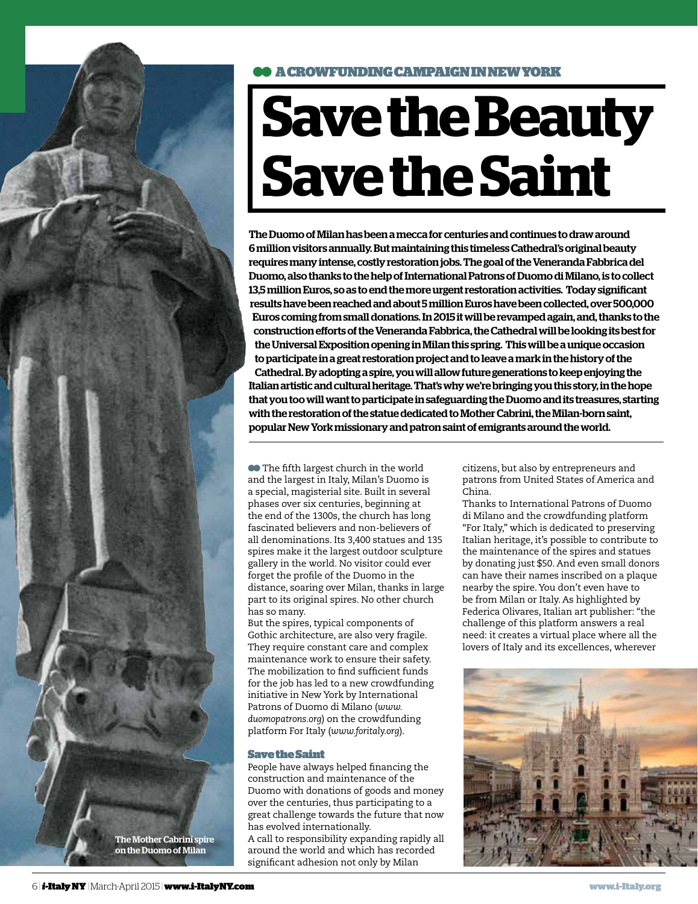

### ● ● A CROWFUNDING CAMPAIGN INNEW YORK

# **Save the Beauty Save the Saint**

The Duomo of Milan has been a mecca for centuries and continues to draw around 6 million visitors annually. But maintaining this timeless Cathedral's original beauty requires many intense, costly restoration jobs. The goal of the Veneranda Fabbrica del Duomo, also thanks to the help of International Patrons of Duomo di Milano, is to collect 13,5 million Euros, so as to end the more urgent restoration activities. Today significant results have been reached and about 5 million Euros have been collected, over 500,000 Euros coming from small donations. In 2015 it will be revamped again, and, thanks to the construction efforts of the Veneranda Fabbrica, the Cathedral will be looking its best for the Universal Exposition opening in Milan this spring. This will be a unique occasion to participate in a great restoration project and to leave a mark in the history of the Cathedral. By adopting a spire, you will allow future generations to keep enjoying the Italian artistic and cultural heritage. That's why we're bringing you this story, in the hope that you too will want to participate in safeguarding the Duomo and its treasures, starting with the restoration of the statue dedicated to Mother Cabrini, the Milan-born saint, popular New York missionary and patron saint of emigrants around the world.

**••** The fifth largest church in the world and the largest in Italy, Milan's Duomo is a special, magisterial site. Built in several phases over six centuries, beginning at the end of the 1300s, the church has long fascinated believers and non-believers of all denominations. Its 3,400 statues and 135 spires make it the largest outdoor sculpture gallery in the world. No visitor could ever forget the profile of the Duomo in the distance, soaring over Milan, thanks in large part to its original spires. No other church has so many.

But the spires, typical components of Gothic architecture, are also very fragile. They require constant care and complex maintenance work to ensure their safety. The mobilization to find sufficient funds for the job has led to a new crowdfunding initiative in New York by International Patrons of Duomo di Milano (*www. duomopatrons.org*) on the crowdfunding platform For Italy (*www.foritaly.org*).

### Save the Saint

People have always helped financing the construction and maintenance of the Duomo with donations of goods and money over the centuries, thus participating to a great challenge towards the future that now has evolved internationally. A call to responsibility expanding rapidly all around the world and which has recorded significant adhesion not only by Milan

citizens, but also by entrepreneurs and patrons from United States of America and China.

Thanks to International Patrons of Duomo di Milano and the crowdfunding platform "For Italy," which is dedicated to preserving Italian heritage, it's possible to contribute to the maintenance of the spires and statues by donating just \$50. And even small donors can have their names inscribed on a plaque nearby the spire. You don't even have to be from Milan or Italy. As highlighted by Federica Olivares, Italian art publisher: "the challenge of this platform answers a real need: it creates a virtual place where all the lovers of Italy and its excellences, wherever

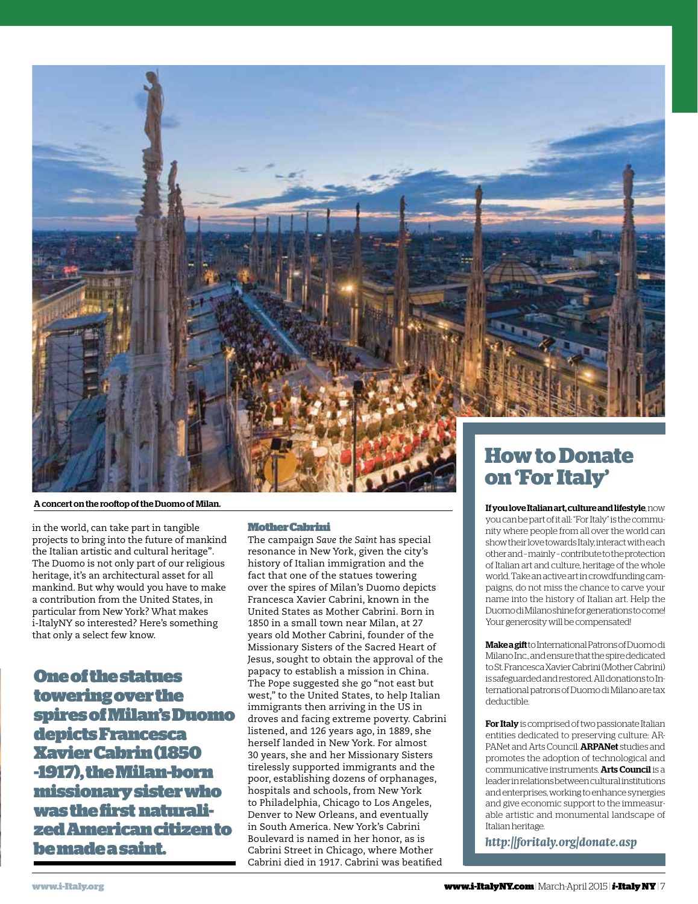

A concert on the rooftop of the Duomo of Milan.

in the world, can take part in tangible projects to bring into the future of mankind the Italian artistic and cultural heritage". The Duomo is not only part of our religious heritage, it's an architectural asset for all mankind. But why would you have to make a contribution from the United States, in particular from New York? What makes i-ItalyNY so interested? Here's something that only a select few know.

One of the statues towering over the spires of Milan's Duomo depicts Francesca Xavier Cabrin (1850 -1917), the Milan-born missionary sister who was the first naturalized American citizen to be made a saint.

### Mother Cabrini

The campaign *Save the Saint* has special resonance in New York, given the city's history of Italian immigration and the fact that one of the statues towering over the spires of Milan's Duomo depicts Francesca Xavier Cabrini, known in the United States as Mother Cabrini. Born in 1850 in a small town near Milan, at 27 years old Mother Cabrini, founder of the Missionary Sisters of the Sacred Heart of Jesus, sought to obtain the approval of the papacy to establish a mission in China. The Pope suggested she go "not east but west," to the United States, to help Italian immigrants then arriving in the US in droves and facing extreme poverty. Cabrini listened, and 126 years ago, in 1889, she herself landed in New York. For almost 30 years, she and her Missionary Sisters tirelessly supported immigrants and the poor, establishing dozens of orphanages, hospitals and schools, from New York to Philadelphia, Chicago to Los Angeles, Denver to New Orleans, and eventually in South America. New York's Cabrini Boulevard is named in her honor, as is Cabrini Street in Chicago, where Mother Cabrini died in 1917. Cabrini was beatified

## **on 'For Italy'**

### If you love Italian art, culture and lifestyle, now

you can be part of it all: "For Italy" is the community where people from all over the world can show their love towards Italy, interact with each other and – mainly – contribute to the protection of Italian art and culture, heritage of the whole world. Take an active art in crowdfunding campaigns, do not miss the chance to carve your name into the history of Italian art. Help the Duomo di Milano shine for generations to come! Your generosity will be compensated!

Make a gift to International Patrons of Duomo di Milano Inc., and ensure that the spire dedicated to St. Francesca Xavier Cabrini (Mother Cabrini) is safeguarded and restored. All donations to International patrons of Duomo di Milano are tax deductible.

For Italy is comprised of two passionate Italian entities dedicated to preserving culture: AR-PANet and Arts Council. ARPANet studies and promotes the adoption of technological and communicative instruments. Arts Council is a leader in relations between cultural institutions and enterprises, working to enhance synergies and give economic support to the immeasurable artistic and monumental landscape of Italian heritage.

*http://foritaly.org/donate.asp*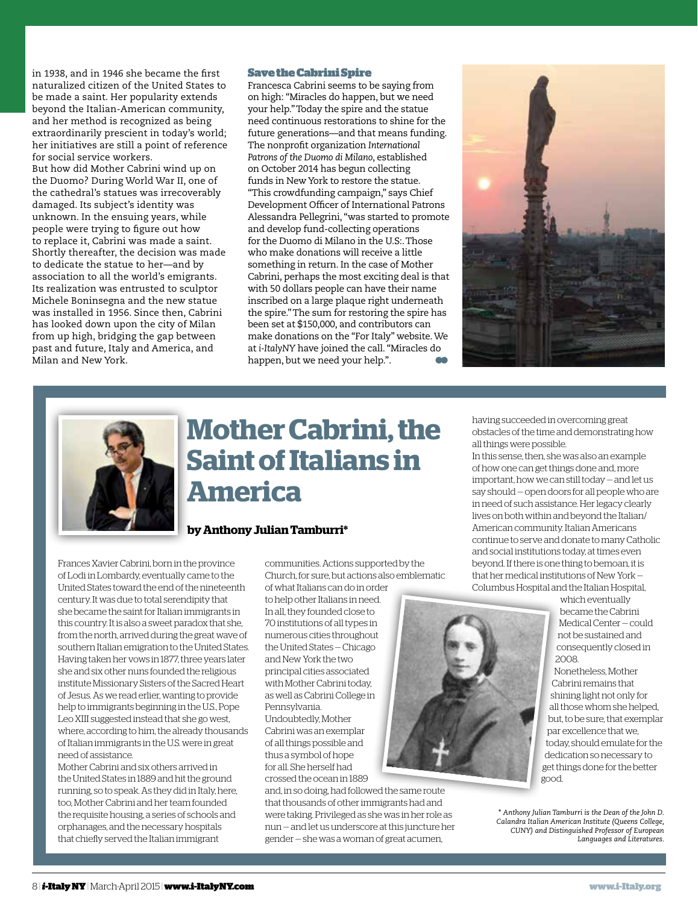in 1938, and in 1946 she became the first naturalized citizen of the United States to be made a saint. Her popularity extends beyond the Italian-American community, and her method is recognized as being extraordinarily prescient in today's world; her initiatives are still a point of reference for social service workers.

But how did Mother Cabrini wind up on the Duomo? During World War II, one of the cathedral's statues was irrecoverably damaged. Its subject's identity was unknown. In the ensuing years, while people were trying to figure out how to replace it, Cabrini was made a saint. Shortly thereafter, the decision was made to dedicate the statue to her—and by association to all the world's emigrants. Its realization was entrusted to sculptor Michele Boninsegna and the new statue was installed in 1956. Since then, Cabrini has looked down upon the city of Milan from up high, bridging the gap between past and future, Italy and America, and Milan and New York.

#### Save the Cabrini Spire

Francesca Cabrini seems to be saying from on high: "Miracles do happen, but we need your help." Today the spire and the statue need continuous restorations to shine for the future generations—and that means funding. The nonprofit organization *International Patrons of the Duomo di Milano*, established on October 2014 has begun collecting funds in New York to restore the statue. "This crowdfunding campaign," says Chief Development Officer of International Patrons Alessandra Pellegrini, "was started to promote and develop fund-collecting operations for the Duomo di Milano in the U.S:. Those who make donations will receive a little something in return. In the case of Mother Cabrini, perhaps the most exciting deal is that with 50 dollars people can have their name inscribed on a large plaque right underneath the spire." The sum for restoring the spire has been set at \$150,000, and contributors can make donations on the "For Italy" website. We at *i-ItalyNY* have joined the call. "Miracles do happen, but we need your help.".





### **Mother Cabrini, the Saint of Italians in America**

### **by Anthony Julian Tamburri\***

Frances Xavier Cabrini, born in the province of Lodi in Lombardy, eventually came to the United States toward the end of the nineteenth century. It was due to total serendipity that she became the saint for Italian immigrants in this country. It is also a sweet paradox that she, from the north, arrived during the great wave of southern Italian emigration to the United States. Having taken her vows in 1877, three years later she and six other nuns founded the religious institute Missionary Sisters of the Sacred Heart of Jesus. As we read erlier, wanting to provide help to immigrants beginning in the U.S., Pope Leo XIII suggested instead that she go west, where, according to him, the already thousands of Italian immigrants in the U.S. were in great need of assistance.

Mother Cabrini and six others arrived in the United States in 1889 and hit the ground running, so to speak. As they did in Italy, here, too, Mother Cabrini and her team founded the requisite housing, a series of schools and orphanages, and the necessary hospitals that chiefly served the Italian immigrant

communities. Actions supported by the Church, for sure, but actions also emblematic

of what Italians can do in order to help other Italians in need. In all, they founded close to 70 institutions of all types in numerous cities throughout the United States — Chicago and New York the two principal cities associated with Mother Cabrini today, as well as Cabrini College in Pennsylvania. Undoubtedly, Mother Cabrini was an exemplar of all things possible and thus a symbol of hope for all. She herself had crossed the ocean in 1889

and, in so doing, had followed the same route that thousands of other immigrants had and were taking. Privileged as she was in her role as nun — and let us underscore at this juncture her gender — she was a woman of great acumen,

having succeeded in overcoming great obstacles of the time and demonstrating how all things were possible.

In this sense, then, she was also an example of how one can get things done and, more important, how we can still today — and let us say should — open doors for all people who are in need of such assistance. Her legacy clearly lives on both within and beyond the Italian/ American community. Italian Americans continue to serve and donate to many Catholic and social institutions today, at times even beyond. If there is one thing to bemoan, it is that her medical institutions of New York — Columbus Hospital and the Italian Hospital,



which eventually became the Cabrini Medical Center — could not be sustained and consequently closed in 2008.

Nonetheless, Mother Cabrini remains that shining light not only for all those whom she helped, but, to be sure, that exemplar par excellence that we, today, should emulate for the dedication so necessary to get things done for the better good.

**<sup>\*</sup>** *Anthony Julian Tamburri is the Dean of the John D. Calandra Italian American Institute (Queens College, CUNY) and Distinguished Professor of European Languages and Literatures.*